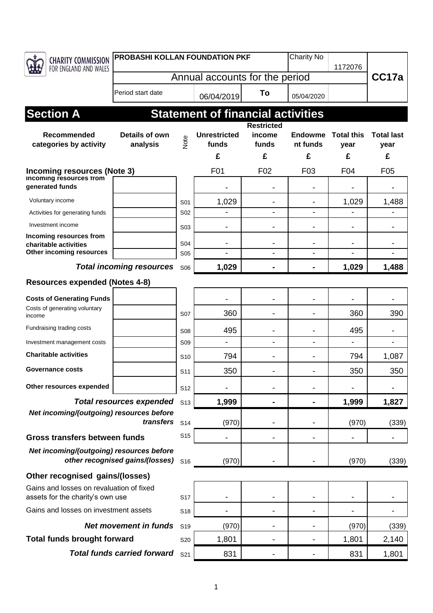| CHARITY COMMISSION                                                              | PROBASHI KOLLAN FOUNDATION PKF  |                  |                                          |                              | Charity No      |                   |                   |
|---------------------------------------------------------------------------------|---------------------------------|------------------|------------------------------------------|------------------------------|-----------------|-------------------|-------------------|
| FOR ENGLAND AND WALES                                                           |                                 |                  |                                          | 1172076                      |                 | CC17a             |                   |
|                                                                                 | Annual accounts for the period  |                  |                                          |                              |                 |                   |                   |
|                                                                                 | Period start date               |                  | 06/04/2019                               | To                           | 05/04/2020      |                   |                   |
| <b>Section A</b>                                                                |                                 |                  | <b>Statement of financial activities</b> |                              |                 |                   |                   |
|                                                                                 |                                 |                  |                                          | <b>Restricted</b>            |                 |                   |                   |
| Recommended                                                                     | Details of own                  | Note             | <b>Unrestricted</b>                      | income                       | <b>Endowme</b>  | <b>Total this</b> | <b>Total last</b> |
| categories by activity                                                          | analysis                        |                  | funds<br>£                               | funds<br>£                   | nt funds<br>£   | year<br>£         | year<br>£         |
|                                                                                 |                                 |                  | F <sub>0</sub> 1                         | F <sub>02</sub>              | F <sub>03</sub> | F04               | F <sub>05</sub>   |
| Incoming resources (Note 3)<br><b>Incoming resources from</b>                   |                                 |                  |                                          |                              |                 |                   |                   |
| generated funds                                                                 |                                 |                  |                                          |                              |                 |                   |                   |
| Voluntary income                                                                |                                 | S01              | 1,029                                    |                              |                 | 1,029             | 1,488             |
| Activities for generating funds                                                 |                                 | S <sub>02</sub>  |                                          | $\overline{a}$               | $\blacksquare$  |                   |                   |
| Investment income                                                               |                                 | S <sub>0</sub> 3 |                                          |                              |                 |                   |                   |
| Incoming resources from<br>charitable activities                                |                                 | S04              |                                          |                              |                 |                   |                   |
| Other incoming resources                                                        |                                 | S <sub>05</sub>  |                                          |                              |                 |                   |                   |
|                                                                                 | <b>Total incoming resources</b> | S06              | 1,029                                    |                              |                 | 1,029             | 1,488             |
| <b>Resources expended (Notes 4-8)</b>                                           |                                 |                  |                                          |                              |                 |                   |                   |
| <b>Costs of Generating Funds</b>                                                |                                 |                  |                                          |                              |                 |                   |                   |
| Costs of generating voluntary<br>income                                         |                                 | <b>S07</b>       | 360                                      |                              |                 | 360               | 390               |
| Fundraising trading costs                                                       |                                 | S <sub>08</sub>  | 495                                      |                              |                 | 495               |                   |
| Investment management costs                                                     |                                 | <b>S09</b>       |                                          | $\overline{a}$               |                 |                   |                   |
| <b>Charitable activities</b>                                                    |                                 | S <sub>10</sub>  | 794                                      | $\blacksquare$               |                 | 794               | 1,087             |
| Governance costs                                                                |                                 | S <sub>11</sub>  | 350                                      |                              |                 | 350               | 350               |
| Other resources expended                                                        |                                 | S <sub>12</sub>  |                                          |                              |                 |                   |                   |
|                                                                                 | <b>Total resources expended</b> | S <sub>13</sub>  | 1,999                                    |                              |                 | 1,999             | 1,827             |
| Net incoming/(outgoing) resources before                                        |                                 |                  |                                          |                              |                 |                   |                   |
| transfers                                                                       |                                 | S <sub>14</sub>  | (970)                                    |                              |                 | (970)             | (339)             |
| Gross transfers between funds                                                   |                                 | S <sub>15</sub>  |                                          |                              |                 |                   |                   |
| Net incoming/(outgoing) resources before<br>other recognised gains/(losses) S16 |                                 |                  | (970)                                    |                              |                 | (970)             | (339)             |
| Other recognised gains/(losses)                                                 |                                 |                  |                                          |                              |                 |                   |                   |
| Gains and losses on revaluation of fixed<br>assets for the charity's own use    |                                 | S <sub>17</sub>  |                                          |                              |                 |                   |                   |
| Gains and losses on investment assets                                           |                                 | S <sub>18</sub>  |                                          | -                            |                 |                   |                   |
| <b>Net movement in funds</b>                                                    |                                 | S <sub>19</sub>  | (970)                                    |                              |                 | (970)             | (339)             |
| <b>Total funds brought forward</b>                                              |                                 | S20              | 1,801                                    | $\qquad \qquad \blacksquare$ | ٠               | 1,801             | 2,140             |
| <b>Total funds carried forward</b>                                              |                                 | S21              | 831                                      |                              |                 | 831               | 1,801             |
|                                                                                 |                                 |                  |                                          |                              |                 |                   |                   |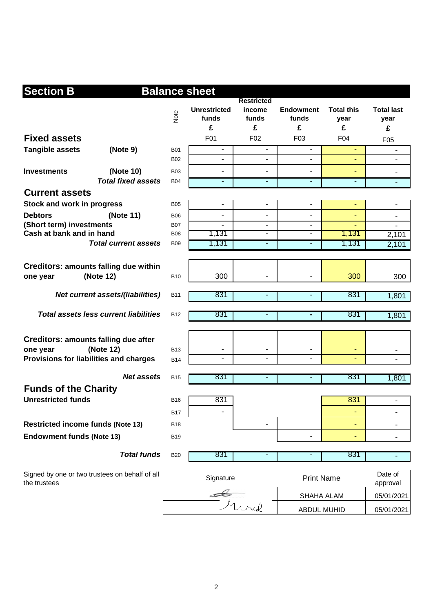| <b>Section B</b><br><b>Balance sheet</b>                       |                                              |                 |                                   |                                           |                                |                                |                                |
|----------------------------------------------------------------|----------------------------------------------|-----------------|-----------------------------------|-------------------------------------------|--------------------------------|--------------------------------|--------------------------------|
|                                                                |                                              | Note            | <b>Unrestricted</b><br>funds<br>£ | <b>Restricted</b><br>income<br>funds<br>£ | <b>Endowment</b><br>funds<br>£ | <b>Total this</b><br>year<br>£ | <b>Total last</b><br>year<br>£ |
| <b>Fixed assets</b>                                            |                                              |                 | F01                               | F <sub>02</sub>                           | F <sub>03</sub>                | F04                            | F <sub>05</sub>                |
| <b>Tangible assets</b>                                         | (Note 9)                                     | <b>B01</b>      | $\blacksquare$                    | $\blacksquare$                            | $\blacksquare$                 |                                |                                |
|                                                                |                                              | <b>B02</b>      | $\blacksquare$                    | $\blacksquare$                            | $\blacksquare$                 | ٠                              |                                |
| <b>Investments</b>                                             | (Note 10)                                    | <b>B03</b>      |                                   |                                           |                                | ٠                              | $\blacksquare$                 |
|                                                                | <b>Total fixed assets</b>                    | <b>B04</b>      | $\overline{\phantom{a}}$          | ٠                                         | $\overline{\phantom{a}}$       | ٠                              | $\blacksquare$                 |
| <b>Current assets</b>                                          |                                              |                 |                                   |                                           |                                |                                |                                |
| Stock and work in progress                                     |                                              | <b>B05</b>      | $\blacksquare$                    | $\blacksquare$                            | ä,                             | ä,                             | $\blacksquare$                 |
| <b>Debtors</b>                                                 | (Note 11)                                    | <b>B06</b>      | $\overline{\phantom{a}}$          | $\qquad \qquad \blacksquare$              | $\overline{a}$                 | ٠                              | ٠                              |
| (Short term) investments                                       |                                              | <b>B07</b>      |                                   | $\blacksquare$                            | $\overline{a}$                 | ۰                              |                                |
| Cash at bank and in hand                                       |                                              | <b>B08</b>      | 1,131                             | $\overline{\phantom{a}}$                  | $\overline{\phantom{a}}$       | 1,131                          | 2,101                          |
|                                                                | <b>Total current assets</b>                  | <b>B09</b>      | 1,131                             | ٠                                         | $\qquad \qquad \blacksquare$   | 1,131                          | 2,101                          |
|                                                                |                                              |                 |                                   |                                           |                                |                                |                                |
| <b>Creditors: amounts falling due within</b><br>one year       | (Note 12)                                    | <b>B10</b>      | 300                               |                                           |                                | 300                            | 300                            |
|                                                                | <b>Net current assets/(liabilities)</b>      | <b>B11</b>      | 831                               | ٠                                         | $\blacksquare$                 | 831                            | 1,801                          |
|                                                                | <b>Total assets less current liabilities</b> | <b>B12</b>      | 831                               |                                           |                                | 831                            | 1,801                          |
|                                                                |                                              |                 |                                   |                                           |                                |                                |                                |
| <b>Creditors: amounts falling due after</b>                    |                                              |                 |                                   |                                           |                                |                                |                                |
| one year                                                       | (Note 12)                                    | <b>B13</b>      | $\overline{\phantom{a}}$          | $\blacksquare$                            | $\blacksquare$                 | ٠                              |                                |
| Provisions for liabilities and charges                         |                                              | <b>B14</b>      | $\blacksquare$                    |                                           |                                |                                |                                |
|                                                                | Net assets                                   | <b>B15</b>      | 831                               | ۰                                         | $\blacksquare$                 | 831                            | 1,801                          |
| <b>Funds of the Charity</b>                                    |                                              |                 |                                   |                                           |                                |                                |                                |
| <b>Unrestricted funds</b>                                      |                                              | <b>B16</b>      | 831                               |                                           |                                | 831                            | $\blacksquare$                 |
|                                                                |                                              | B <sub>17</sub> |                                   |                                           |                                |                                |                                |
| <b>Restricted income funds (Note 13)</b>                       |                                              | <b>B18</b>      |                                   | ۰                                         |                                | ٠                              | -                              |
|                                                                |                                              |                 |                                   |                                           | $\overline{a}$                 |                                |                                |
| <b>Endowment funds (Note 13)</b>                               |                                              | <b>B19</b>      |                                   |                                           |                                | ۰                              |                                |
|                                                                | <b>Total funds</b>                           | <b>B20</b>      | 831                               |                                           |                                | 831                            |                                |
| Signed by one or two trustees on behalf of all<br>the trustees |                                              | Signature       |                                   |                                           | <b>Print Name</b>              |                                | Date of<br>approval            |
|                                                                |                                              |                 |                                   |                                           | SHAHA ALAM                     |                                | 05/01/2021                     |
|                                                                | Michael                                      |                 |                                   | <b>ABDUL MUHID</b>                        | 05/01/2021                     |                                |                                |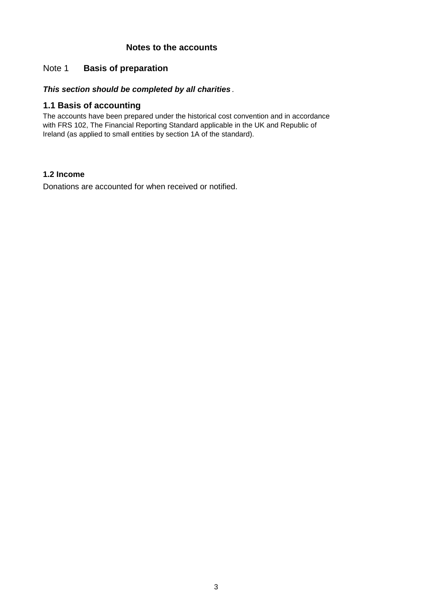### **Notes to the accounts**

### Note 1 **Basis of preparation**

### *This section should be completed by all charities .*

### **1.1 Basis of accounting**

The accounts have been prepared under the historical cost convention and in accordance with FRS 102, The Financial Reporting Standard applicable in the UK and Republic of Ireland (as applied to small entities by section 1A of the standard).

### **1.2 Income**

Donations are accounted for when received or notified.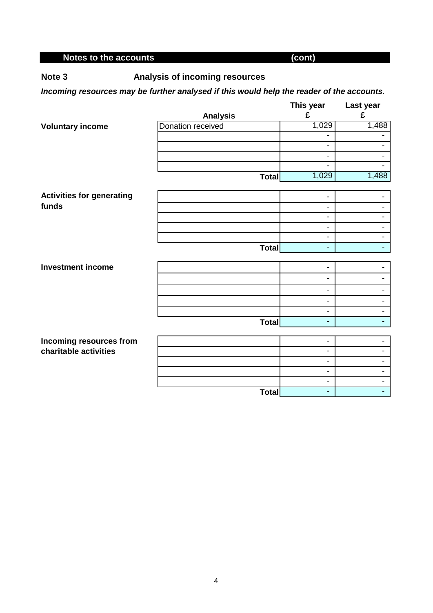# **Notes to the accounts** (cont)

**Note 3 Analysis of incoming resources**

### *Incoming resources may be further analysed if this would help the reader of the accounts.*

|                                  |                   | This year                    | Last year                                  |
|----------------------------------|-------------------|------------------------------|--------------------------------------------|
|                                  | <b>Analysis</b>   | £                            | £                                          |
| <b>Voluntary income</b>          | Donation received | 1,029                        | 1,488                                      |
|                                  |                   | -                            |                                            |
|                                  |                   | -                            |                                            |
|                                  |                   | -                            | $\overline{\phantom{a}}$                   |
|                                  |                   | $\blacksquare$               |                                            |
|                                  | <b>Total</b>      | 1,029                        | 1,488                                      |
|                                  |                   |                              |                                            |
| <b>Activities for generating</b> |                   | -                            |                                            |
| funds                            |                   | $\overline{\phantom{a}}$     | $\overline{\phantom{a}}$                   |
|                                  |                   | -                            |                                            |
|                                  |                   | $\overline{\phantom{a}}$     | $\blacksquare$                             |
|                                  |                   | -                            | $\overline{\phantom{a}}$                   |
|                                  | Total             |                              | $\blacksquare$                             |
| <b>Investment income</b>         |                   | -                            |                                            |
|                                  |                   | -                            |                                            |
|                                  |                   |                              |                                            |
|                                  |                   | -                            | -                                          |
|                                  |                   | $\overline{\phantom{a}}$     | $\overline{\phantom{0}}$                   |
|                                  |                   | -                            | $\overline{\phantom{a}}$<br>$\blacksquare$ |
|                                  | Total             | Ξ.                           |                                            |
| Incoming resources from          |                   | $\qquad \qquad \blacksquare$ |                                            |
| charitable activities            |                   | -                            |                                            |
|                                  |                   | -                            | $\overline{\phantom{a}}$                   |
|                                  |                   | $\overline{\phantom{a}}$     | $\blacksquare$                             |
|                                  |                   | -                            | $\blacksquare$                             |
|                                  | <b>Total</b>      |                              | Ξ.                                         |
|                                  |                   |                              |                                            |